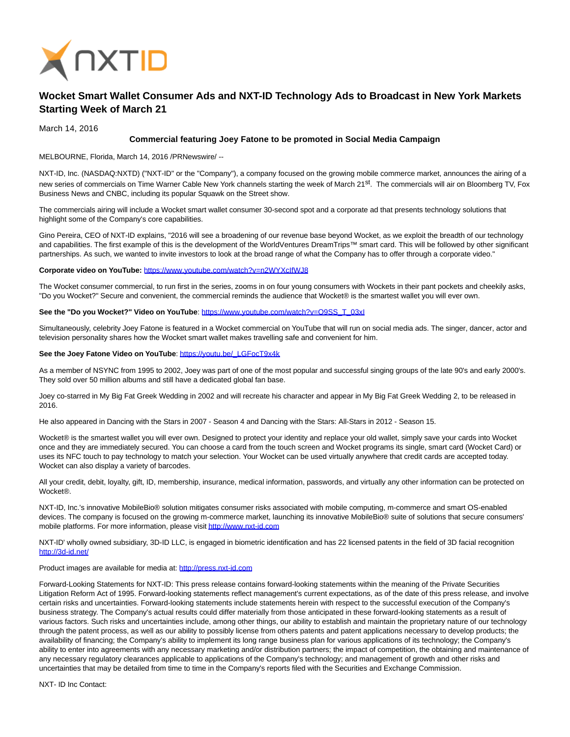

## **Wocket Smart Wallet Consumer Ads and NXT-ID Technology Ads to Broadcast in New York Markets Starting Week of March 21**

March 14, 2016

## **Commercial featuring Joey Fatone to be promoted in Social Media Campaign**

MELBOURNE, Florida, March 14, 2016 /PRNewswire/ --

NXT-ID, Inc. (NASDAQ:NXTD) ("NXT-ID" or the "Company"), a company focused on the growing mobile commerce market, announces the airing of a new series of commercials on Time Warner Cable New York channels starting the week of March 21<sup>st</sup>. The commercials will air on Bloomberg TV, Fox Business News and CNBC, including its popular Squawk on the Street show.

The commercials airing will include a Wocket smart wallet consumer 30-second spot and a corporate ad that presents technology solutions that highlight some of the Company's core capabilities.

Gino Pereira, CEO of NXT-ID explains, "2016 will see a broadening of our revenue base beyond Wocket, as we exploit the breadth of our technology and capabilities. The first example of this is the development of the WorldVentures DreamTrips™ smart card. This will be followed by other significant partnerships. As such, we wanted to invite investors to look at the broad range of what the Company has to offer through a corporate video."

**Corporate video on YouTube:** <https://www.youtube.com/watch?v=n2WYXcIfWJ8>

The Wocket consumer commercial, to run first in the series, zooms in on four young consumers with Wockets in their pant pockets and cheekily asks, "Do you Wocket?" Secure and convenient, the commercial reminds the audience that Wocket® is the smartest wallet you will ever own.

**See the "Do you Wocket?" Video on YouTube**: [https://www.youtube.com/watch?v=O9SS\\_T\\_03xI](https://www.youtube.com/watch?v=O9SS_T_03xI)

Simultaneously, celebrity Joey Fatone is featured in a Wocket commercial on YouTube that will run on social media ads. The singer, dancer, actor and television personality shares how the Wocket smart wallet makes travelling safe and convenient for him.

## See the Joey Fatone Video on YouTube[: https://youtu.be/\\_LGFocT9x4k](https://youtu.be/_LGFocT9x4k)

As a member of NSYNC from 1995 to 2002, Joey was part of one of the most popular and successful singing groups of the late 90's and early 2000's. They sold over 50 million albums and still have a dedicated global fan base.

Joey co-starred in My Big Fat Greek Wedding in 2002 and will recreate his character and appear in My Big Fat Greek Wedding 2, to be released in 2016.

He also appeared in Dancing with the Stars in 2007 - Season 4 and Dancing with the Stars: All-Stars in 2012 - Season 15.

Wocket® is the smartest wallet you will ever own. Designed to protect your identity and replace your old wallet, simply save your cards into Wocket once and they are immediately secured. You can choose a card from the touch screen and Wocket programs its single, smart card (Wocket Card) or uses its NFC touch to pay technology to match your selection. Your Wocket can be used virtually anywhere that credit cards are accepted today. Wocket can also display a variety of barcodes.

All your credit, debit, loyalty, gift, ID, membership, insurance, medical information, passwords, and virtually any other information can be protected on Wocket®.

NXT-ID, Inc.'s innovative MobileBio® solution mitigates consumer risks associated with mobile computing, m-commerce and smart OS-enabled devices. The company is focused on the growing m-commerce market, launching its innovative MobileBio® suite of solutions that secure consumers' mobile platforms. For more information, please visi[t http://www.nxt-id.com](http://www.nxt-id.com/)

NXT-ID' wholly owned subsidiary, 3D-ID LLC, is engaged in biometric identification and has 22 licensed patents in the field of 3D facial recognition <http://3d-id.net/>

## Product images are available for media at: [http://press.nxt-id.com](http://press.nxt-id.com/)

Forward-Looking Statements for NXT-ID: This press release contains forward-looking statements within the meaning of the Private Securities Litigation Reform Act of 1995. Forward-looking statements reflect management's current expectations, as of the date of this press release, and involve certain risks and uncertainties. Forward-looking statements include statements herein with respect to the successful execution of the Company's business strategy. The Company's actual results could differ materially from those anticipated in these forward-looking statements as a result of various factors. Such risks and uncertainties include, among other things, our ability to establish and maintain the proprietary nature of our technology through the patent process, as well as our ability to possibly license from others patents and patent applications necessary to develop products; the availability of financing; the Company's ability to implement its long range business plan for various applications of its technology; the Company's ability to enter into agreements with any necessary marketing and/or distribution partners; the impact of competition, the obtaining and maintenance of any necessary regulatory clearances applicable to applications of the Company's technology; and management of growth and other risks and uncertainties that may be detailed from time to time in the Company's reports filed with the Securities and Exchange Commission.

NXT- ID Inc Contact: